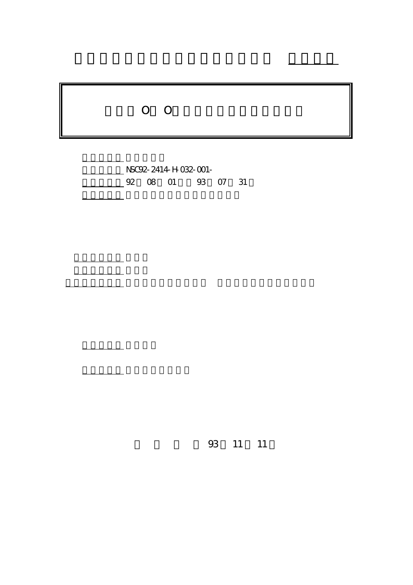## O O

行政院國家科學委員會專題研究計畫 成果報告

計畫編號: NSC92-2414-H-032-001- 4 92 08 01 93 07 31

計畫參與人員: 協同研究人員:吳東林 研究助理:黃鴻志、高慶先

計畫主持人: 翁明賢

共同主持人: 吳建德

。<br>在前書 : 本計畫可公開查

93 11 11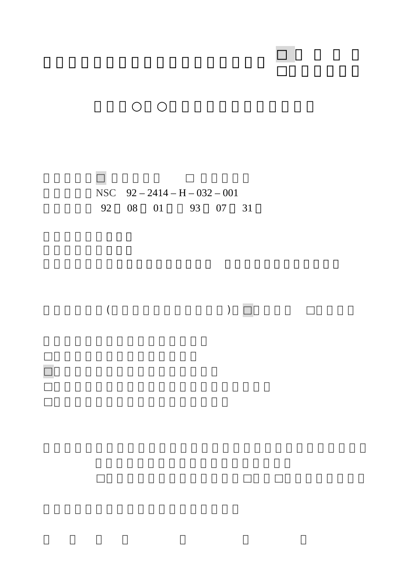NSC 92 – 2414 – H – 032 – 001 執行期間: 92 08 01 93 07 31

□ ■ 图 图 图 图 图 图 图 图 图 图 图 图 图 图

□赴大陸地區出差或研習心得報告一份

行政院國家科學委員會補助專題研究計畫 □成果報告

 $($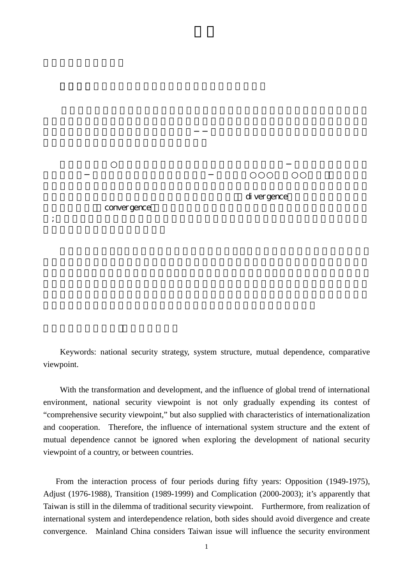di vergence

convergence

Keywords: national security strategy, system structure, mutual dependence, comparative viewpoint.

 $\frac{1}{R}$ 

With the transformation and development, and the influence of global trend of international environment, national security viewpoint is not only gradually expending its contest of "comprehensive security viewpoint," but also supplied with characteristics of internationalization and cooperation. Therefore, the influence of international system structure and the extent of mutual dependence cannot be ignored when exploring the development of national security viewpoint of a country, or between countries.

From the interaction process of four periods during fifty years: Opposition (1949-1975), Adjust (1976-1988), Transition (1989-1999) and Complication (2000-2003); it's apparently that Taiwan is still in the dilemma of traditional security viewpoint. Furthermore, from realization of international system and interdependence relation, both sides should avoid divergence and create convergence. Mainland China considers Taiwan issue will influence the security environment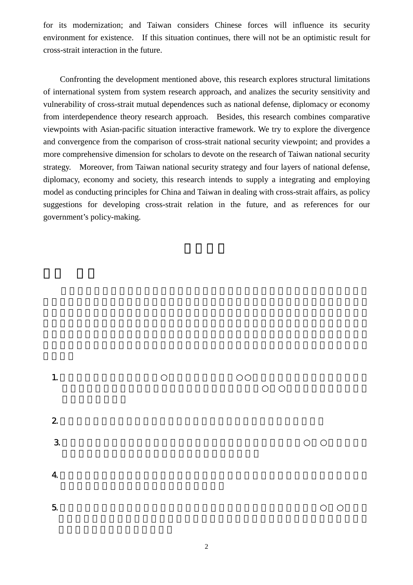for its modernization; and Taiwan considers Chinese forces will influence its security environment for existence. If this situation continues, there will not be an optimistic result for cross-strait interaction in the future.

Confronting the development mentioned above, this research explores structural limitations of international system from system research approach, and analizes the security sensitivity and vulnerability of cross-strait mutual dependences such as national defense, diplomacy or economy from interdependence theory research approach. Besides, this research combines comparative viewpoints with Asian-pacific situation interactive framework. We try to explore the divergence and convergence from the comparison of cross-strait national security viewpoint; and provides a more comprehensive dimension for scholars to devote on the research of Taiwan national security strategy. Moreover, from Taiwan national security strategy and four layers of national defense, diplomacy, economy and society, this research intends to supply a integrating and employing model as conducting principles for China and Taiwan in dealing with cross-strait affairs, as policy suggestions for developing cross-strait relation in the future, and as references for our government's policy-making.

- 1. And  $\mathbf{L}$
- $2 \left( \frac{1}{\pi} \right)$
- $3.$
- $4.$
- $5.$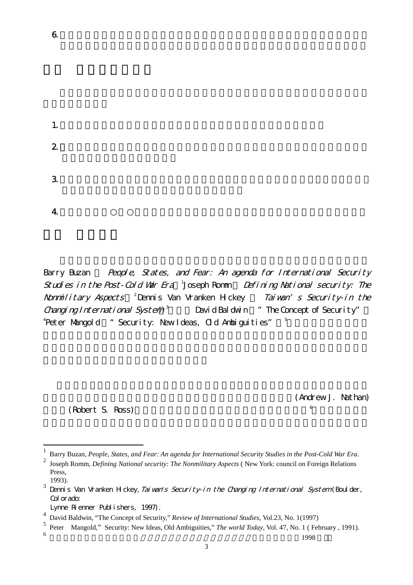$1.$  $2$  $3.$ 

 $4.$ 

 $\overline{a}$ 

Barry Buzan People, States, and Fear: An agenda for International Security Studies in the Post-Cold War Era <sup>1</sup>Joseph Romm Defining National security: The Nonmilitary Aspects <sup>2</sup> Dennis Van Vranken Hickey Taiwan's Security-in the Changing International System<sup>3</sup> David Baldwin  $\pi$  The Concept of Security"  $^4$ Peter Mangold " Security: New Ideas, Old Ambiguities"  $^{\tiny\text{\tiny{5}}}$ 這些著作雖非置焦點於

 $6.$ 

(Andrew J. Nathan)

, and the contract of  $\mathcal{L}$ 

與羅斯(Robert S. Ross)合著的《長城與空城計:中國尋求安全的戰略》6

<sup>1</sup> Barry Buzan, *People, States, and Fear: An agenda for International Security Studies in the Post-Cold War Era.* 2 Joseph Romm, *Defining National security: The Nonmilitary Aspects* ( New York: council on Foreign Relations Press, 1993).

<sup>&</sup>lt;sup>3</sup> Dennis Van Vranken Hickey, *Tai van's Security-in the Changing International System* (Boulder, Col or ado:

Lynne Rienner Publishers, 1997).

<sup>4</sup> David Baldwin, "The Concept of Security," *Review of International Studies*, Vol.23, No. 1(1997)

<sup>&</sup>lt;sup>5</sup> Peter Mangold," Security: New Ideas, Old Ambiguities," *The world Today*, Vol. 47, No. 1 ( February , 1991).  $\frac{6}{1998}$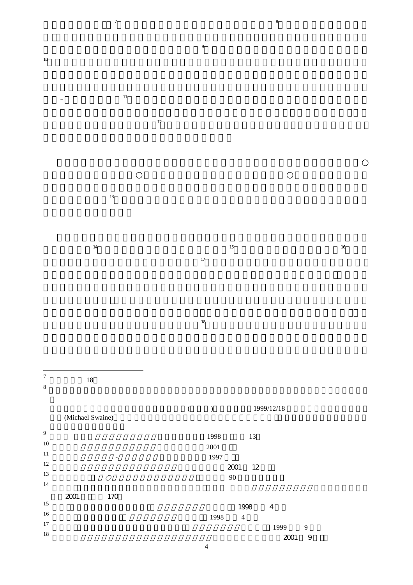$\overline{a}$  $\mathbf{B}$ 

又如《跨世紀國家安全戰

 $\frac{16}{2}$ 

以及楚

世紀的國家安全戰略的應行及可行之道。」9 10 , and the set of the set of the set of the set of the set of the set of the set of the set of the set of the set of the set of the set of the set of the set of the set of the set of the set of the set of the set of the se

 $=$  11

 $\sim$  12 , and  $\mu$ 

 $\mathbf{f}(\mathbf{r}) = \mathbf{f}(\mathbf{r})$ 但是,並未對我國國家安全戰略作週延、全盤之規劃;因此,本研究應

 $14$  $\downarrow$  (15)  $\overline{a}$ 。這些著作相當具有代表性,分析其共通點,

 $\blacksquare$ , and the set of the set of the set of the set of the set of the set of the set of the set of the set of the set of the set of the set of the set of the set of the set of the set of the set of the set of the set of the se

 $\overline{7}$  $\begin{array}{ccc} 7 & \hspace{1.5cm} 18 \\ 8 & \end{array}$  $8$ 

 $($  ) 1999/12/18 (Michael Swaine) <sup>9</sup> 翁明賢 編輯,跨世紀國家安全戰略(台北:麥田,1998 年),頁 13  $10 \t 2001$ <sup>11</sup> 吳玉山,抗衡或扈從*-*兩岸關係新詮(台北:正中,1997 年)  $12$  2001  $12$ 13  $90$ 14  $\overline{a}$ 170  $15$  15  $1998$  4  $16$  16  $17$  17  $1999$  9  $18$  2001  $\,$  9  $\,$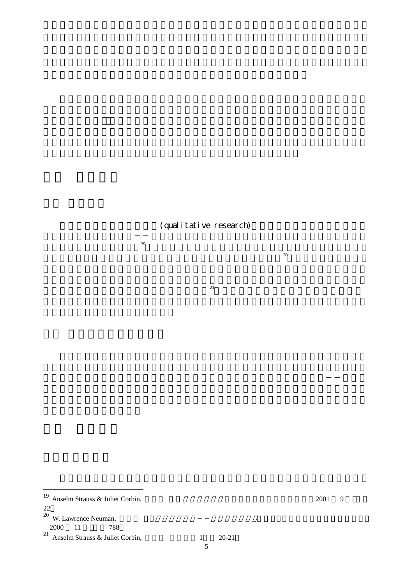## (qualitative research)

口頭報告或寫成書面報告。19 研究中的質化分析也不是應用大量來自於數學與統計學為主的

 $\infty$  $\mathcal{L}$ 

在結論部分更進一步進行質化的說明與釐清。21

 $\overline{a}$ 

 $19$  Anselm Strauss & Juliet Corbin,  $2001$  9

<sup>22</sup>

 $^{20}$  W. Lawrence Neuman,

<sup>2000 11 788</sup> 

 $^{21}$  Anselm Strauss & Juliet Corbin,  $1 \qquad 20-21$